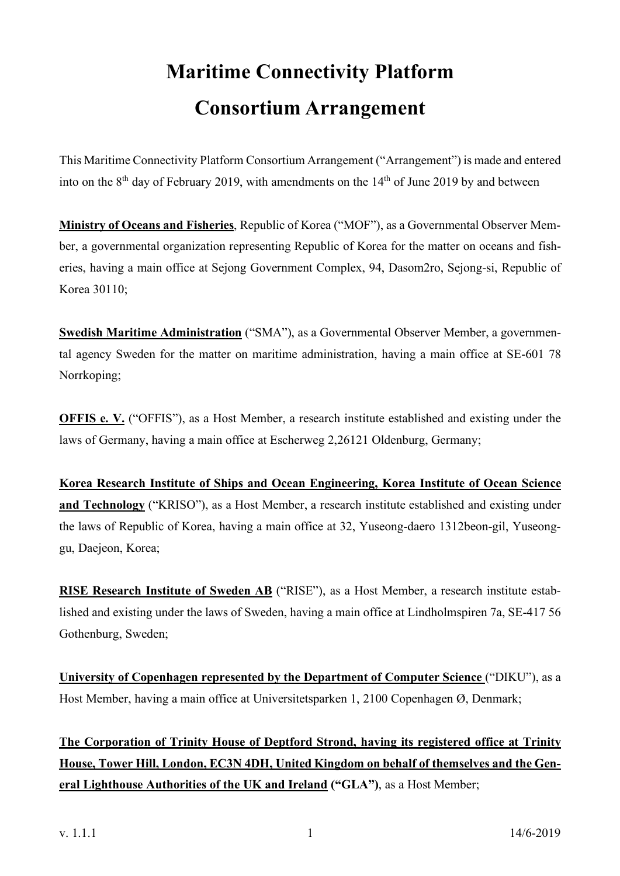# **Maritime Connectivity Platform Consortium Arrangement**

This Maritime Connectivity Platform Consortium Arrangement ("Arrangement") is made and entered into on the  $8<sup>th</sup>$  day of February 2019, with amendments on the  $14<sup>th</sup>$  of June 2019 by and between

**Ministry of Oceans and Fisheries**, Republic of Korea ("MOF"), as a Governmental Observer Member, a governmental organization representing Republic of Korea for the matter on oceans and fisheries, having a main office at Sejong Government Complex, 94, Dasom2ro, Sejong-si, Republic of Korea 30110;

**Swedish Maritime Administration** ("SMA"), as a Governmental Observer Member, a governmental agency Sweden for the matter on maritime administration, having a main office at SE-601 78 Norrkoping;

**OFFIS e.** V. ("OFFIS"), as a Host Member, a research institute established and existing under the laws of Germany, having a main office at Escherweg 2,26121 Oldenburg, Germany;

**Korea Research Institute of Ships and Ocean Engineering, Korea Institute of Ocean Science and Technology** ("KRISO"), as a Host Member, a research institute established and existing under the laws of Republic of Korea, having a main office at 32, Yuseong-daero 1312beon-gil, Yuseonggu, Daejeon, Korea;

**RISE Research Institute of Sweden AB** ("RISE"), as a Host Member, a research institute established and existing under the laws of Sweden, having a main office at Lindholmspiren 7a, SE-417 56 Gothenburg, Sweden;

**University of Copenhagen represented by the Department of Computer Science** ("DIKU"), as a Host Member, having a main office at Universitetsparken 1, 2100 Copenhagen Ø, Denmark;

**The Corporation of Trinity House of Deptford Strond, having its registered office at Trinity House, Tower Hill, London, EC3N 4DH, United Kingdom on behalf of themselves and the General Lighthouse Authorities of the UK and Ireland ("GLA")**, as a Host Member;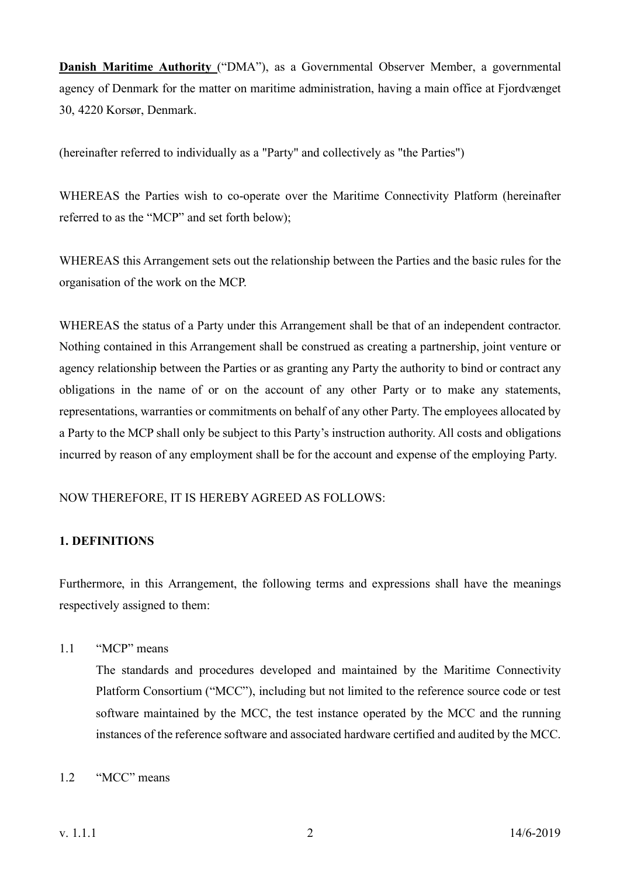**Danish Maritime Authority** ("DMA"), as a Governmental Observer Member, a governmental agency of Denmark for the matter on maritime administration, having a main office at Fjordvænget 30, 4220 Korsør, Denmark.

(hereinafter referred to individually as a "Party" and collectively as "the Parties")

WHEREAS the Parties wish to co-operate over the Maritime Connectivity Platform (hereinafter referred to as the "MCP" and set forth below);

WHEREAS this Arrangement sets out the relationship between the Parties and the basic rules for the organisation of the work on the MCP.

WHEREAS the status of a Party under this Arrangement shall be that of an independent contractor. Nothing contained in this Arrangement shall be construed as creating a partnership, joint venture or agency relationship between the Parties or as granting any Party the authority to bind or contract any obligations in the name of or on the account of any other Party or to make any statements, representations, warranties or commitments on behalf of any other Party. The employees allocated by a Party to the MCP shall only be subject to this Party's instruction authority. All costs and obligations incurred by reason of any employment shall be for the account and expense of the employing Party.

NOW THEREFORE, IT IS HEREBY AGREED AS FOLLOWS:

# **1. DEFINITIONS**

Furthermore, in this Arrangement, the following terms and expressions shall have the meanings respectively assigned to them:

1.1 "MCP" means

The standards and procedures developed and maintained by the Maritime Connectivity Platform Consortium ("MCC"), including but not limited to the reference source code or test software maintained by the MCC, the test instance operated by the MCC and the running instances of the reference software and associated hardware certified and audited by the MCC.

# 1.2 "MCC" means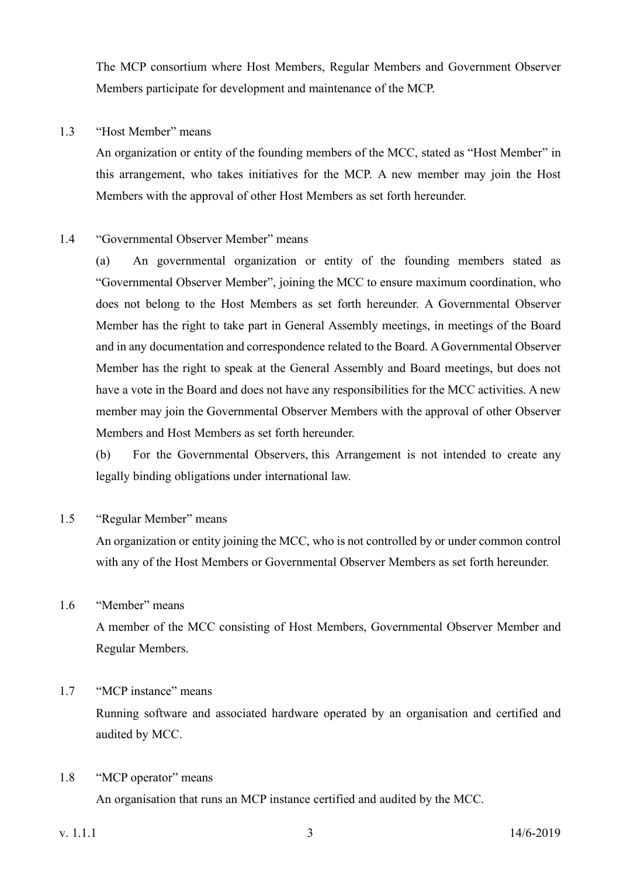The MCP consortium where Host Members, Regular Members and Government Observer Members participate for development and maintenance of the MCP.

# 1.3 "Host Member" means

An organization or entity of the founding members of the MCC, stated as "Host Member" in this arrangement, who takes initiatives for the MCP. A new member may join the Host Members with the approval of other Host Members as set forth hereunder.

# 1.4 "Governmental Observer Member" means

(a) An governmental organization or entity of the founding members stated as "Governmental Observer Member", joining the MCC to ensure maximum coordination, who does not belong to the Host Members as set forth hereunder. A Governmental Observer Member has the right to take part in General Assembly meetings, in meetings of the Board and in any documentation and correspondence related to the Board. A Governmental Observer Member has the right to speak at the General Assembly and Board meetings, but does not have a vote in the Board and does not have any responsibilities for the MCC activities. A new member may join the Governmental Observer Members with the approval of other Observer Members and Host Members as set forth hereunder.

(b) For the Governmental Observers, this Arrangement is not intended to create any legally binding obligations under international law.

# 1.5 "Regular Member" means

An organization or entity joining the MCC, who is not controlled by or under common control with any of the Host Members or Governmental Observer Members as set forth hereunder.

# 1.6 "Member" means

A member of the MCC consisting of Host Members, Governmental Observer Member and Regular Members.

# 1.7 "MCP instance" means

Running software and associated hardware operated by an organisation and certified and audited by MCC.

# 1.8 "MCP operator" means

An organisation that runs an MCP instance certified and audited by the MCC.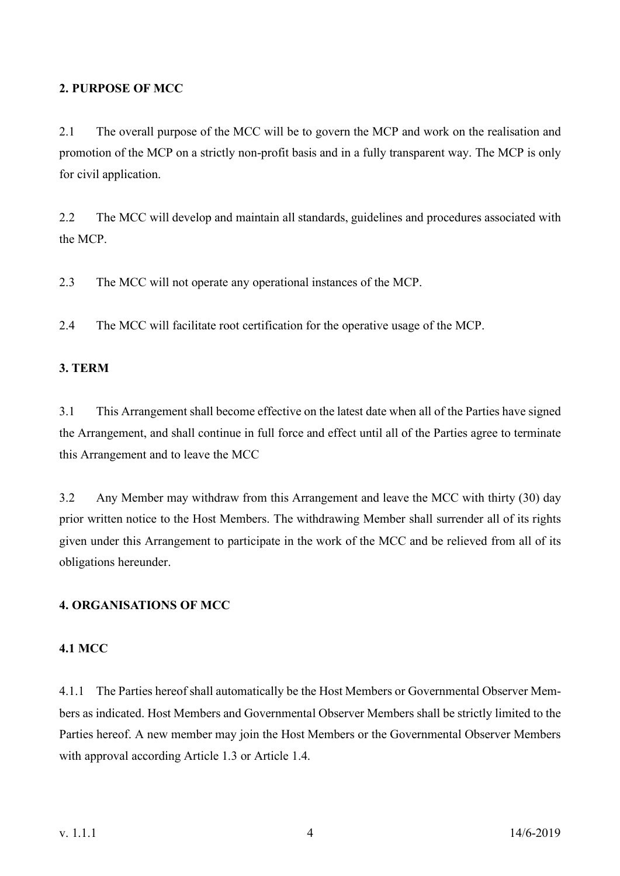# **2. PURPOSE OF MCC**

2.1 The overall purpose of the MCC will be to govern the MCP and work on the realisation and promotion of the MCP on a strictly non-profit basis and in a fully transparent way. The MCP is only for civil application.

2.2 The MCC will develop and maintain all standards, guidelines and procedures associated with the MCP.

2.3 The MCC will not operate any operational instances of the MCP.

2.4 The MCC will facilitate root certification for the operative usage of the MCP.

# **3. TERM**

3.1 This Arrangement shall become effective on the latest date when all of the Parties have signed the Arrangement, and shall continue in full force and effect until all of the Parties agree to terminate this Arrangement and to leave the MCC

3.2 Any Member may withdraw from this Arrangement and leave the MCC with thirty (30) day prior written notice to the Host Members. The withdrawing Member shall surrender all of its rights given under this Arrangement to participate in the work of the MCC and be relieved from all of its obligations hereunder.

# **4. ORGANISATIONS OF MCC**

# **4.1 MCC**

4.1.1 The Parties hereof shall automatically be the Host Members or Governmental Observer Members as indicated. Host Members and Governmental Observer Members shall be strictly limited to the Parties hereof. A new member may join the Host Members or the Governmental Observer Members with approval according Article 1.3 or Article 1.4.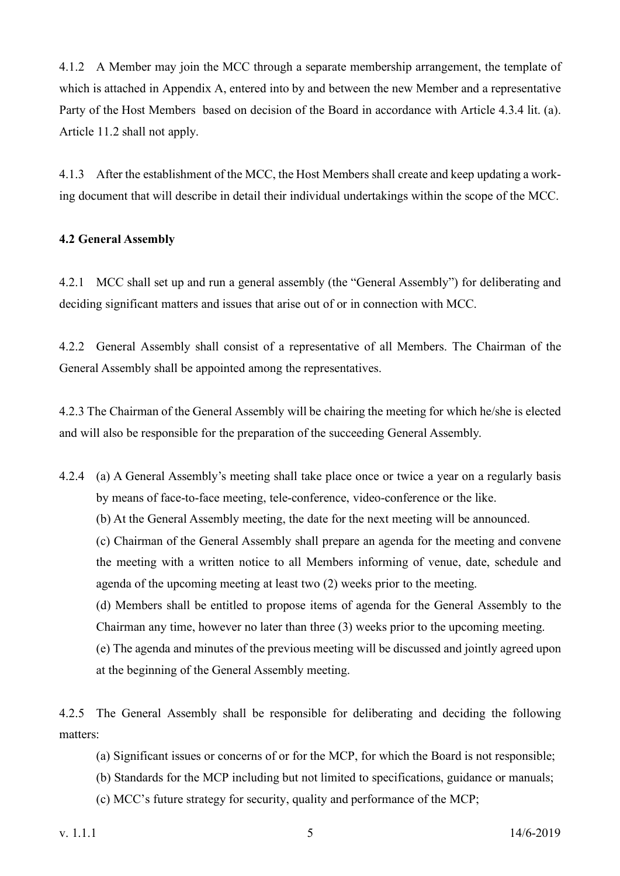4.1.2 A Member may join the MCC through a separate membership arrangement, the template of which is attached in Appendix A, entered into by and between the new Member and a representative Party of the Host Members based on decision of the Board in accordance with Article 4.3.4 lit. (a). Article 11.2 shall not apply.

4.1.3 After the establishment of the MCC, the Host Members shall create and keep updating a working document that will describe in detail their individual undertakings within the scope of the MCC.

# **4.2 General Assembly**

4.2.1 MCC shall set up and run a general assembly (the "General Assembly") for deliberating and deciding significant matters and issues that arise out of or in connection with MCC.

4.2.2 General Assembly shall consist of a representative of all Members. The Chairman of the General Assembly shall be appointed among the representatives.

4.2.3 The Chairman of the General Assembly will be chairing the meeting for which he/she is elected and will also be responsible for the preparation of the succeeding General Assembly.

- 4.2.4 (a) A General Assembly's meeting shall take place once or twice a year on a regularly basis by means of face-to-face meeting, tele-conference, video-conference or the like.
	- (b) At the General Assembly meeting, the date for the next meeting will be announced.

(c) Chairman of the General Assembly shall prepare an agenda for the meeting and convene the meeting with a written notice to all Members informing of venue, date, schedule and agenda of the upcoming meeting at least two (2) weeks prior to the meeting.

(d) Members shall be entitled to propose items of agenda for the General Assembly to the Chairman any time, however no later than three (3) weeks prior to the upcoming meeting.

(e) The agenda and minutes of the previous meeting will be discussed and jointly agreed upon at the beginning of the General Assembly meeting.

4.2.5 The General Assembly shall be responsible for deliberating and deciding the following matters:

- (a) Significant issues or concerns of or for the MCP, for which the Board is not responsible;
- (b) Standards for the MCP including but not limited to specifications, guidance or manuals;
- (c) MCC's future strategy for security, quality and performance of the MCP;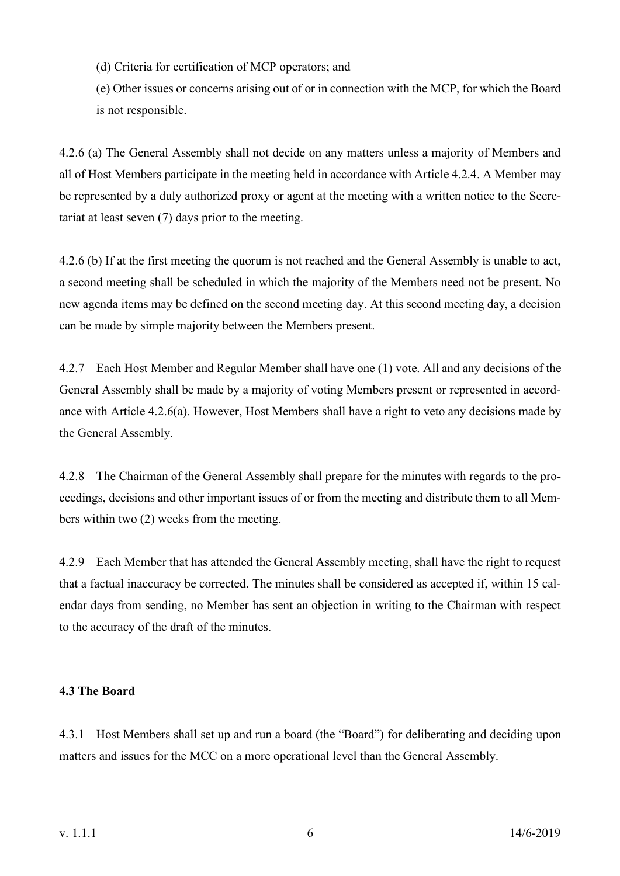(d) Criteria for certification of MCP operators; and

(e) Other issues or concerns arising out of or in connection with the MCP, for which the Board is not responsible.

4.2.6 (a) The General Assembly shall not decide on any matters unless a majority of Members and all of Host Members participate in the meeting held in accordance with Article 4.2.4. A Member may be represented by a duly authorized proxy or agent at the meeting with a written notice to the Secretariat at least seven (7) days prior to the meeting.

4.2.6 (b) If at the first meeting the quorum is not reached and the General Assembly is unable to act, a second meeting shall be scheduled in which the majority of the Members need not be present. No new agenda items may be defined on the second meeting day. At this second meeting day, a decision can be made by simple majority between the Members present.

4.2.7 Each Host Member and Regular Member shall have one (1) vote. All and any decisions of the General Assembly shall be made by a majority of voting Members present or represented in accordance with Article 4.2.6(a). However, Host Members shall have a right to veto any decisions made by the General Assembly.

4.2.8 The Chairman of the General Assembly shall prepare for the minutes with regards to the proceedings, decisions and other important issues of or from the meeting and distribute them to all Members within two (2) weeks from the meeting.

4.2.9 Each Member that has attended the General Assembly meeting, shall have the right to request that a factual inaccuracy be corrected. The minutes shall be considered as accepted if, within 15 calendar days from sending, no Member has sent an objection in writing to the Chairman with respect to the accuracy of the draft of the minutes.

# **4.3 The Board**

4.3.1 Host Members shall set up and run a board (the "Board") for deliberating and deciding upon matters and issues for the MCC on a more operational level than the General Assembly.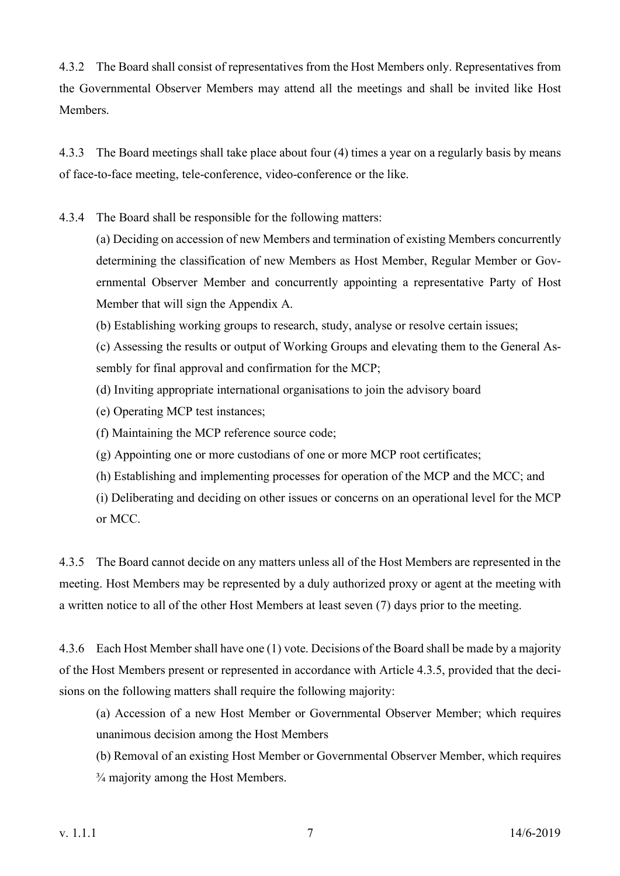4.3.2 The Board shall consist of representatives from the Host Members only. Representatives from the Governmental Observer Members may attend all the meetings and shall be invited like Host **Members** 

4.3.3 The Board meetings shall take place about four (4) times a year on a regularly basis by means of face-to-face meeting, tele-conference, video-conference or the like.

4.3.4 The Board shall be responsible for the following matters:

(a) Deciding on accession of new Members and termination of existing Members concurrently determining the classification of new Members as Host Member, Regular Member or Governmental Observer Member and concurrently appointing a representative Party of Host Member that will sign the Appendix A.

(b) Establishing working groups to research, study, analyse or resolve certain issues;

(c) Assessing the results or output of Working Groups and elevating them to the General Assembly for final approval and confirmation for the MCP;

(d) Inviting appropriate international organisations to join the advisory board

(e) Operating MCP test instances;

(f) Maintaining the MCP reference source code;

- (g) Appointing one or more custodians of one or more MCP root certificates;
- (h) Establishing and implementing processes for operation of the MCP and the MCC; and

(i) Deliberating and deciding on other issues or concerns on an operational level for the MCP or MCC.

4.3.5 The Board cannot decide on any matters unless all of the Host Members are represented in the meeting. Host Members may be represented by a duly authorized proxy or agent at the meeting with a written notice to all of the other Host Members at least seven (7) days prior to the meeting.

4.3.6 Each Host Member shall have one (1) vote. Decisions of the Board shall be made by a majority of the Host Members present or represented in accordance with Article 4.3.5, provided that the decisions on the following matters shall require the following majority:

(a) Accession of a new Host Member or Governmental Observer Member; which requires unanimous decision among the Host Members

(b) Removal of an existing Host Member or Governmental Observer Member, which requires ¾ majority among the Host Members.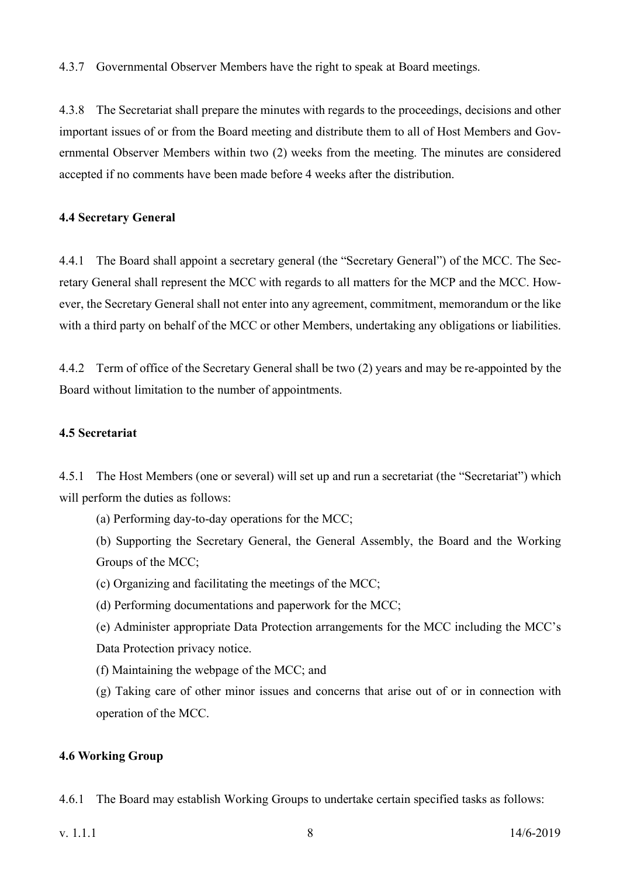4.3.7 Governmental Observer Members have the right to speak at Board meetings.

4.3.8 The Secretariat shall prepare the minutes with regards to the proceedings, decisions and other important issues of or from the Board meeting and distribute them to all of Host Members and Governmental Observer Members within two (2) weeks from the meeting. The minutes are considered accepted if no comments have been made before 4 weeks after the distribution.

# **4.4 Secretary General**

4.4.1 The Board shall appoint a secretary general (the "Secretary General") of the MCC. The Secretary General shall represent the MCC with regards to all matters for the MCP and the MCC. However, the Secretary General shall not enter into any agreement, commitment, memorandum or the like with a third party on behalf of the MCC or other Members, undertaking any obligations or liabilities.

4.4.2 Term of office of the Secretary General shall be two (2) years and may be re-appointed by the Board without limitation to the number of appointments.

# **4.5 Secretariat**

4.5.1 The Host Members (one or several) will set up and run a secretariat (the "Secretariat") which will perform the duties as follows:

(a) Performing day-to-day operations for the MCC;

(b) Supporting the Secretary General, the General Assembly, the Board and the Working Groups of the MCC;

(c) Organizing and facilitating the meetings of the MCC;

(d) Performing documentations and paperwork for the MCC;

(e) Administer appropriate Data Protection arrangements for the MCC including the MCC's Data Protection privacy notice.

(f) Maintaining the webpage of the MCC; and

(g) Taking care of other minor issues and concerns that arise out of or in connection with operation of the MCC.

# **4.6 Working Group**

4.6.1 The Board may establish Working Groups to undertake certain specified tasks as follows: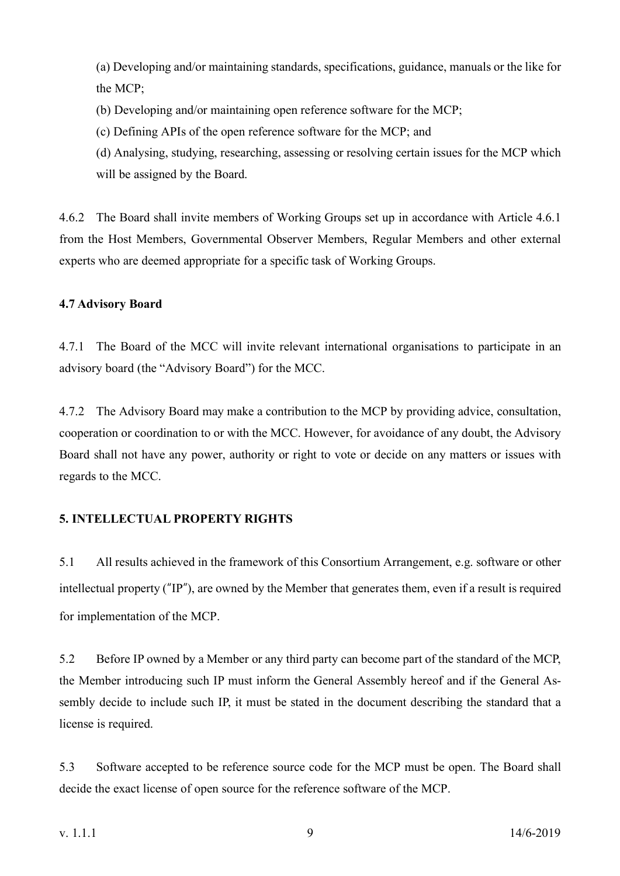(a) Developing and/or maintaining standards, specifications, guidance, manuals or the like for the MCP;

- (b) Developing and/or maintaining open reference software for the MCP;
- (c) Defining APIs of the open reference software for the MCP; and

(d) Analysing, studying, researching, assessing or resolving certain issues for the MCP which will be assigned by the Board.

4.6.2 The Board shall invite members of Working Groups set up in accordance with Article 4.6.1 from the Host Members, Governmental Observer Members, Regular Members and other external experts who are deemed appropriate for a specific task of Working Groups.

# **4.7 Advisory Board**

4.7.1 The Board of the MCC will invite relevant international organisations to participate in an advisory board (the "Advisory Board") for the MCC.

4.7.2 The Advisory Board may make a contribution to the MCP by providing advice, consultation, cooperation or coordination to or with the MCC. However, for avoidance of any doubt, the Advisory Board shall not have any power, authority or right to vote or decide on any matters or issues with regards to the MCC.

# **5. INTELLECTUAL PROPERTY RIGHTS**

5.1 All results achieved in the framework of this Consortium Arrangement, e.g. software or other intellectual property ("IP"), are owned by the Member that generates them, even if a result is required for implementation of the MCP.

5.2 Before IP owned by a Member or any third party can become part of the standard of the MCP, the Member introducing such IP must inform the General Assembly hereof and if the General Assembly decide to include such IP, it must be stated in the document describing the standard that a license is required.

5.3 Software accepted to be reference source code for the MCP must be open. The Board shall decide the exact license of open source for the reference software of the MCP.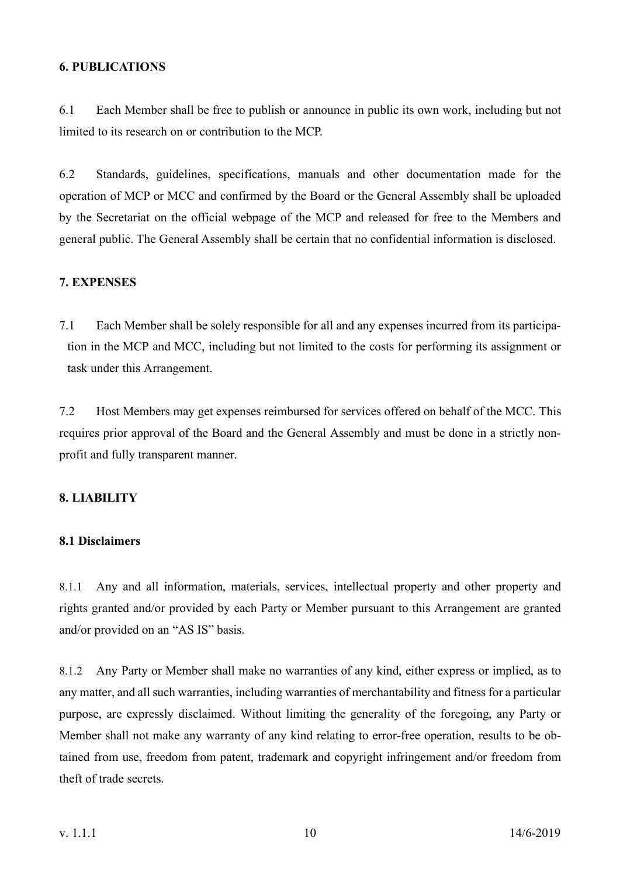#### **6. PUBLICATIONS**

6.1 Each Member shall be free to publish or announce in public its own work, including but not limited to its research on or contribution to the MCP.

6.2 Standards, guidelines, specifications, manuals and other documentation made for the operation of MCP or MCC and confirmed by the Board or the General Assembly shall be uploaded by the Secretariat on the official webpage of the MCP and released for free to the Members and general public. The General Assembly shall be certain that no confidential information is disclosed.

# **7. EXPENSES**

7.1 Each Member shall be solely responsible for all and any expenses incurred from its participation in the MCP and MCC, including but not limited to the costs for performing its assignment or task under this Arrangement.

7.2 Host Members may get expenses reimbursed for services offered on behalf of the MCC. This requires prior approval of the Board and the General Assembly and must be done in a strictly nonprofit and fully transparent manner.

# **8. LIABILITY**

# **8.1 Disclaimers**

8.1.1 Any and all information, materials, services, intellectual property and other property and rights granted and/or provided by each Party or Member pursuant to this Arrangement are granted and/or provided on an "AS IS" basis.

8.1.2 Any Party or Member shall make no warranties of any kind, either express or implied, as to any matter, and all such warranties, including warranties of merchantability and fitness for a particular purpose, are expressly disclaimed. Without limiting the generality of the foregoing, any Party or Member shall not make any warranty of any kind relating to error-free operation, results to be obtained from use, freedom from patent, trademark and copyright infringement and/or freedom from theft of trade secrets.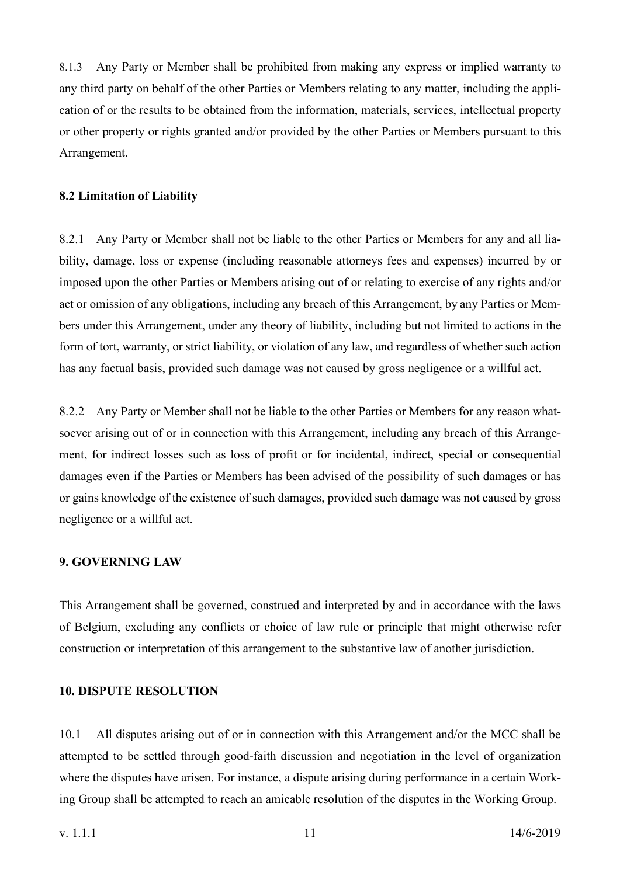8.1.3 Any Party or Member shall be prohibited from making any express or implied warranty to any third party on behalf of the other Parties or Members relating to any matter, including the application of or the results to be obtained from the information, materials, services, intellectual property or other property or rights granted and/or provided by the other Parties or Members pursuant to this Arrangement.

#### **8.2 Limitation of Liability**

8.2.1 Any Party or Member shall not be liable to the other Parties or Members for any and all liability, damage, loss or expense (including reasonable attorneys fees and expenses) incurred by or imposed upon the other Parties or Members arising out of or relating to exercise of any rights and/or act or omission of any obligations, including any breach of this Arrangement, by any Parties or Members under this Arrangement, under any theory of liability, including but not limited to actions in the form of tort, warranty, or strict liability, or violation of any law, and regardless of whether such action has any factual basis, provided such damage was not caused by gross negligence or a willful act.

8.2.2 Any Party or Member shall not be liable to the other Parties or Members for any reason whatsoever arising out of or in connection with this Arrangement, including any breach of this Arrangement, for indirect losses such as loss of profit or for incidental, indirect, special or consequential damages even if the Parties or Members has been advised of the possibility of such damages or has or gains knowledge of the existence of such damages, provided such damage was not caused by gross negligence or a willful act.

#### **9. GOVERNING LAW**

This Arrangement shall be governed, construed and interpreted by and in accordance with the laws of Belgium, excluding any conflicts or choice of law rule or principle that might otherwise refer construction or interpretation of this arrangement to the substantive law of another jurisdiction.

#### **10. DISPUTE RESOLUTION**

10.1 All disputes arising out of or in connection with this Arrangement and/or the MCC shall be attempted to be settled through good-faith discussion and negotiation in the level of organization where the disputes have arisen. For instance, a dispute arising during performance in a certain Working Group shall be attempted to reach an amicable resolution of the disputes in the Working Group.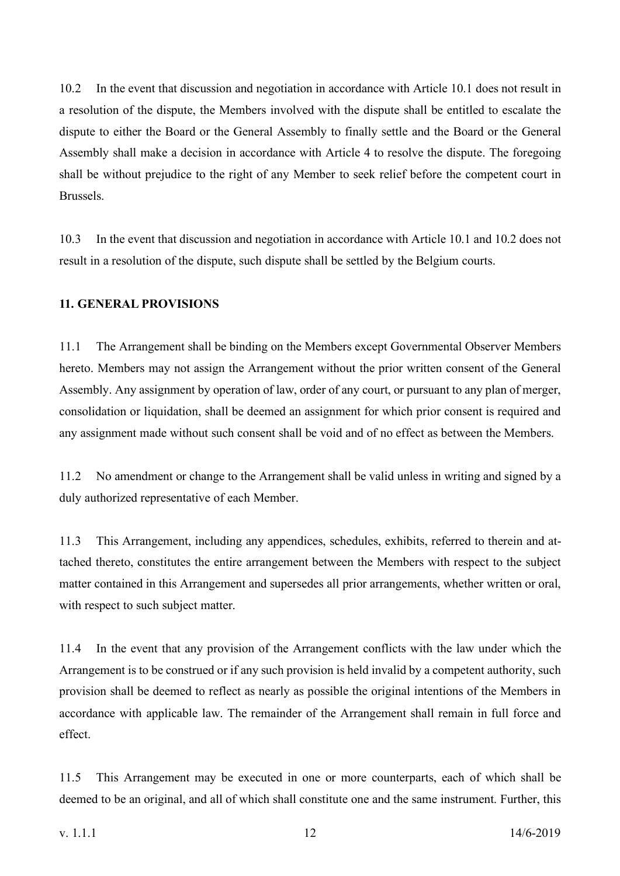10.2 In the event that discussion and negotiation in accordance with Article 10.1 does not result in a resolution of the dispute, the Members involved with the dispute shall be entitled to escalate the dispute to either the Board or the General Assembly to finally settle and the Board or the General Assembly shall make a decision in accordance with Article 4 to resolve the dispute. The foregoing shall be without prejudice to the right of any Member to seek relief before the competent court in Brussels.

10.3 In the event that discussion and negotiation in accordance with Article 10.1 and 10.2 does not result in a resolution of the dispute, such dispute shall be settled by the Belgium courts.

# **11. GENERAL PROVISIONS**

11.1 The Arrangement shall be binding on the Members except Governmental Observer Members hereto. Members may not assign the Arrangement without the prior written consent of the General Assembly. Any assignment by operation of law, order of any court, or pursuant to any plan of merger, consolidation or liquidation, shall be deemed an assignment for which prior consent is required and any assignment made without such consent shall be void and of no effect as between the Members.

11.2 No amendment or change to the Arrangement shall be valid unless in writing and signed by a duly authorized representative of each Member.

11.3 This Arrangement, including any appendices, schedules, exhibits, referred to therein and attached thereto, constitutes the entire arrangement between the Members with respect to the subject matter contained in this Arrangement and supersedes all prior arrangements, whether written or oral, with respect to such subject matter.

11.4 In the event that any provision of the Arrangement conflicts with the law under which the Arrangement is to be construed or if any such provision is held invalid by a competent authority, such provision shall be deemed to reflect as nearly as possible the original intentions of the Members in accordance with applicable law. The remainder of the Arrangement shall remain in full force and effect.

11.5 This Arrangement may be executed in one or more counterparts, each of which shall be deemed to be an original, and all of which shall constitute one and the same instrument. Further, this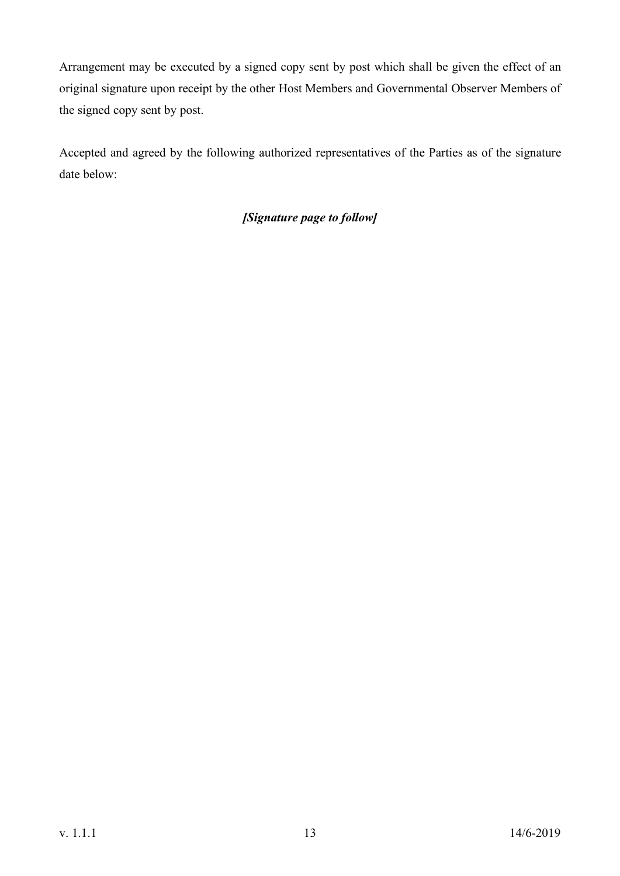Arrangement may be executed by a signed copy sent by post which shall be given the effect of an original signature upon receipt by the other Host Members and Governmental Observer Members of the signed copy sent by post.

Accepted and agreed by the following authorized representatives of the Parties as of the signature date below:

# *[Signature page to follow]*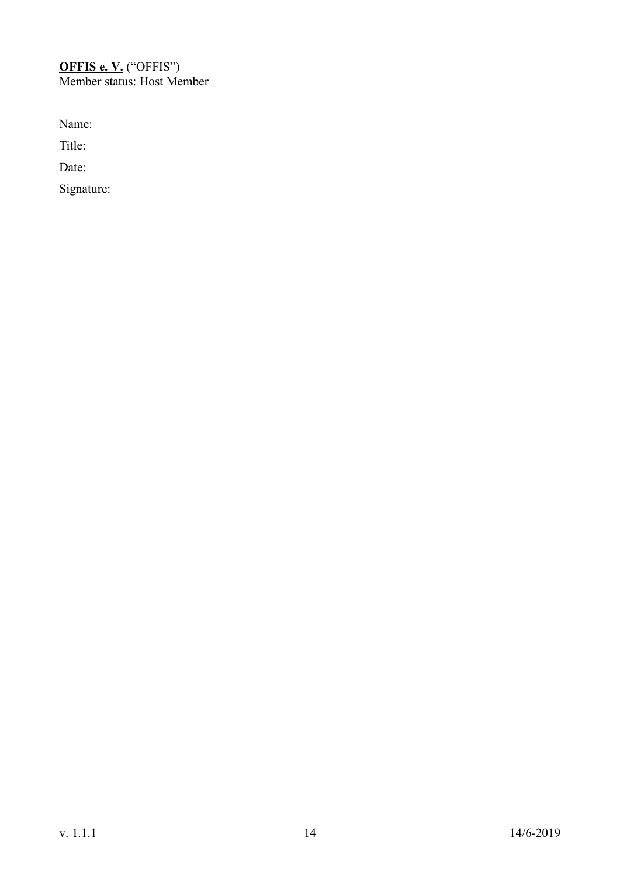# **OFFIS e. V.** ("OFFIS") Member status: Host Member

Name:

Title:

Date: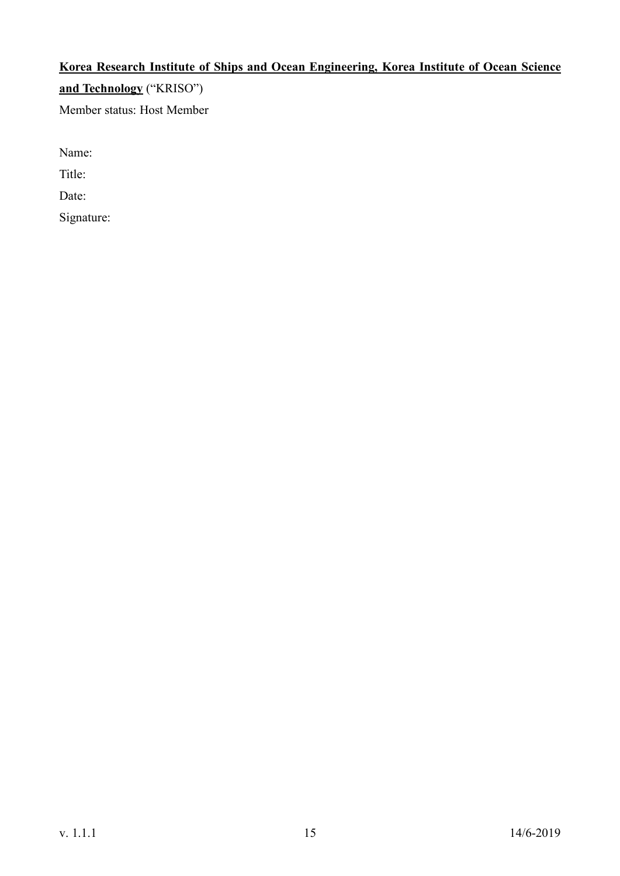# **Korea Research Institute of Ships and Ocean Engineering, Korea Institute of Ocean Science and Technology** ("KRISO") Member status: Host Member

Name:

Title:

Date: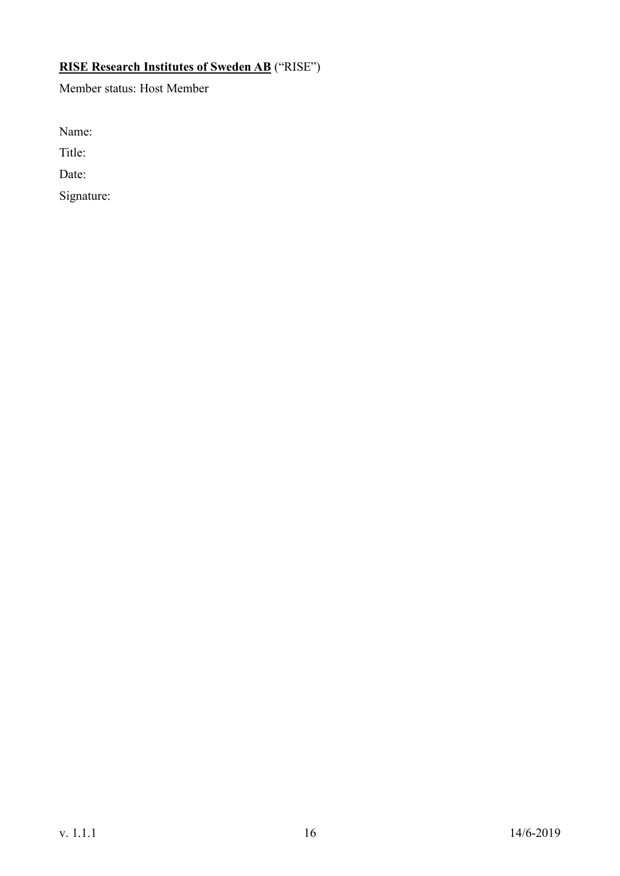# **RISE Research Institutes of Sweden AB** ("RISE")

Member status: Host Member

Name:

Title:

Date: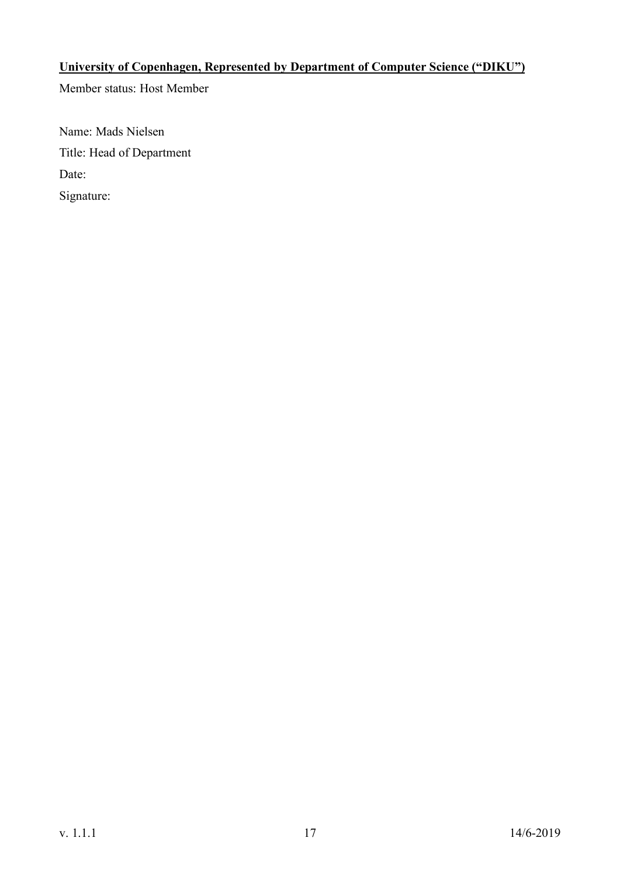# **University of Copenhagen, Represented by Department of Computer Science ("DIKU")**

Member status: Host Member

Name: Mads Nielsen Title: Head of Department Date: Signature: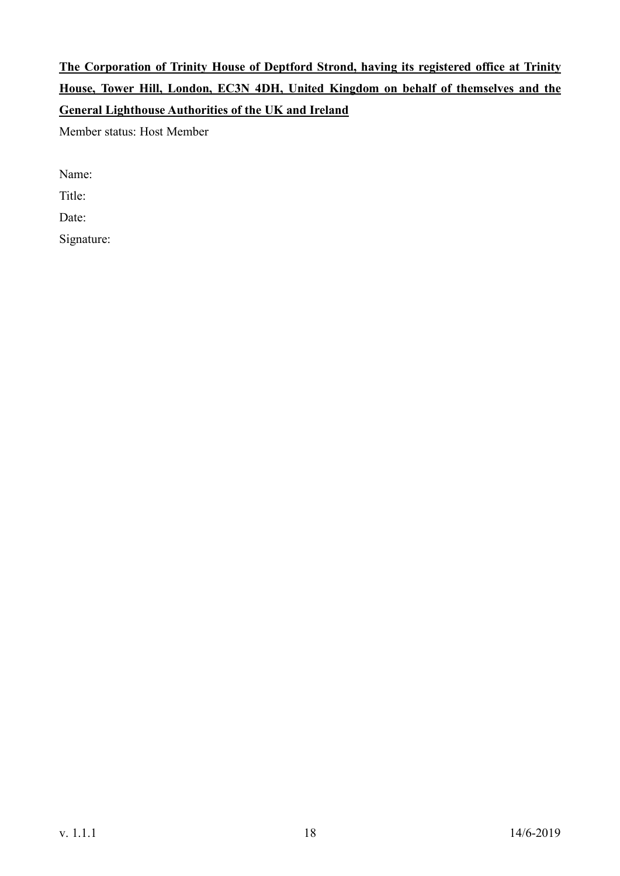# **The Corporation of Trinity House of Deptford Strond, having its registered office at Trinity House, Tower Hill, London, EC3N 4DH, United Kingdom on behalf of themselves and the General Lighthouse Authorities of the UK and Ireland**

Member status: Host Member

Name:

Title:

Date: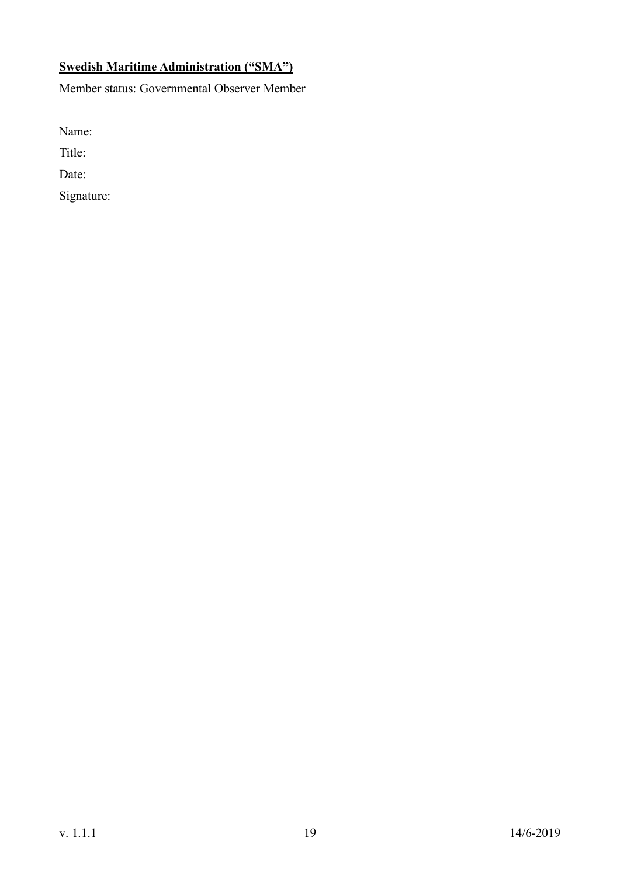# **Swedish Maritime Administration ("SMA")**

Member status: Governmental Observer Member

Name:

Title:

Date: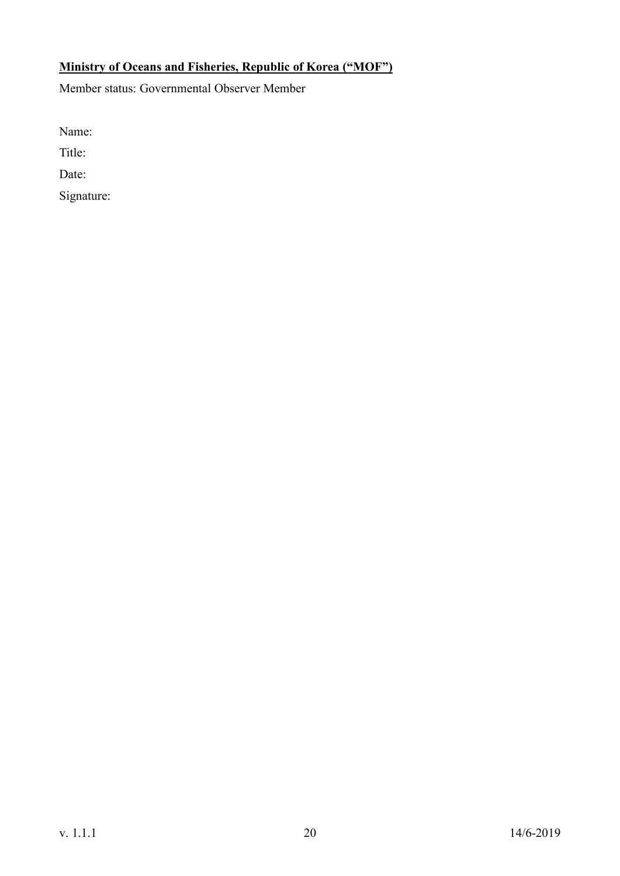# **Ministry of Oceans and Fisheries, Republic of Korea ("MOF")**

Member status: Governmental Observer Member

Name:

Title:

Date: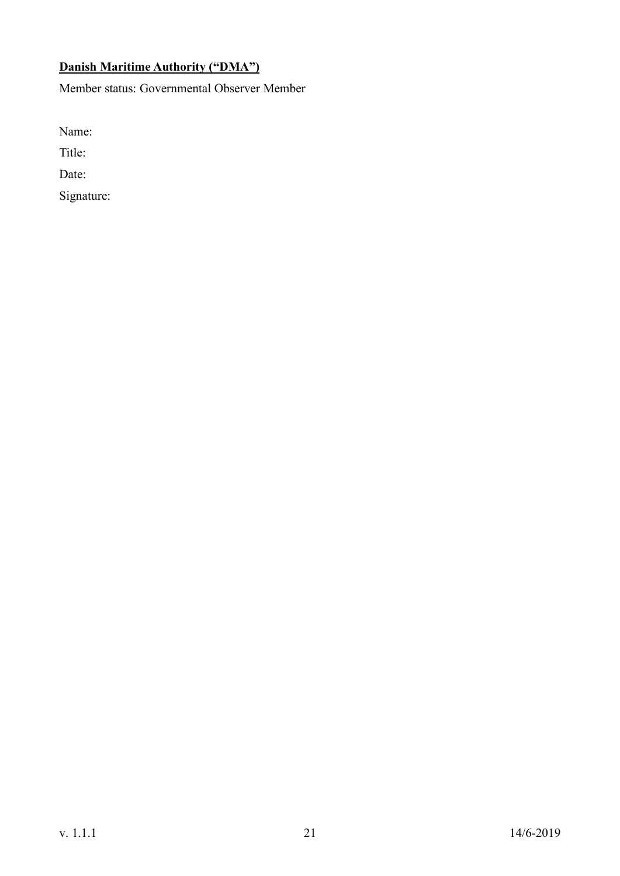# **Danish Maritime Authority ("DMA")**

Member status: Governmental Observer Member

Name:

Title:

Date: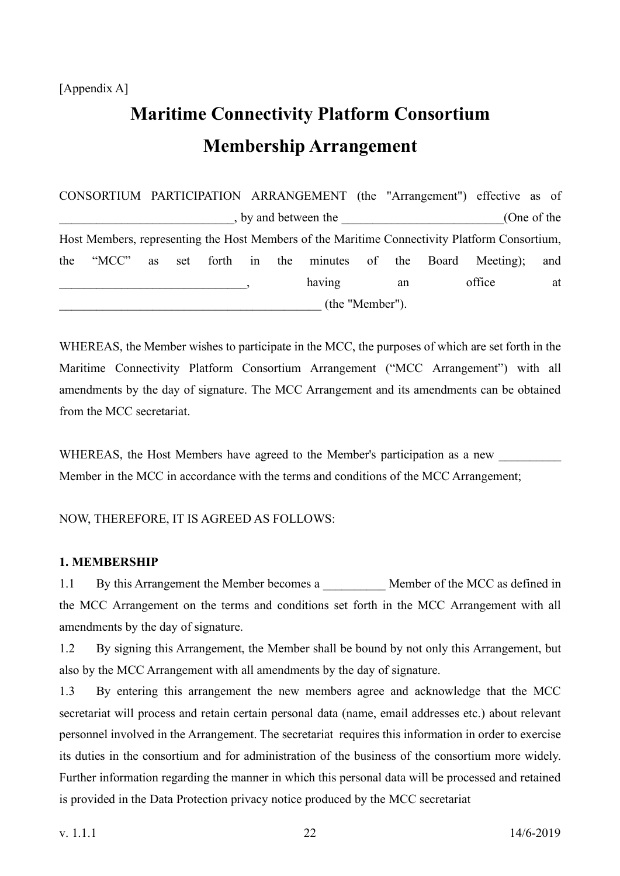# [Appendix A]

# **Maritime Connectivity Platform Consortium Membership Arrangement**

CONSORTIUM PARTICIPATION ARRANGEMENT (the "Arrangement") effective as of  $\Box$ , by and between the  $(One \ of \ the)$ Host Members, representing the Host Members of the Maritime Connectivity Platform Consortium, the "MCC" as set forth in the minutes of the Board Meeting); and example and the contract of the contract of the contract of the contract of the contract of the contract of the contract of the contract of the contract of the contract of the contract of the contract of the contract of th \_\_\_\_\_\_\_\_\_\_\_\_\_\_\_\_\_\_\_\_\_\_\_\_\_\_\_\_\_\_\_\_\_\_\_\_\_\_\_\_\_\_ (the "Member").

WHEREAS, the Member wishes to participate in the MCC, the purposes of which are set forth in the Maritime Connectivity Platform Consortium Arrangement ("MCC Arrangement") with all amendments by the day of signature. The MCC Arrangement and its amendments can be obtained from the MCC secretariat.

WHEREAS, the Host Members have agreed to the Member's participation as a new Member in the MCC in accordance with the terms and conditions of the MCC Arrangement;

NOW, THEREFORE, IT IS AGREED AS FOLLOWS:

# **1. MEMBERSHIP**

1.1 By this Arrangement the Member becomes a \_\_\_\_\_\_\_\_\_\_\_ Member of the MCC as defined in the MCC Arrangement on the terms and conditions set forth in the MCC Arrangement with all amendments by the day of signature.

1.2 By signing this Arrangement, the Member shall be bound by not only this Arrangement, but also by the MCC Arrangement with all amendments by the day of signature.

1.3 By entering this arrangement the new members agree and acknowledge that the MCC secretariat will process and retain certain personal data (name, email addresses etc.) about relevant personnel involved in the Arrangement. The secretariat requires this information in order to exercise its duties in the consortium and for administration of the business of the consortium more widely. Further information regarding the manner in which this personal data will be processed and retained is provided in the Data Protection privacy notice produced by the MCC secretariat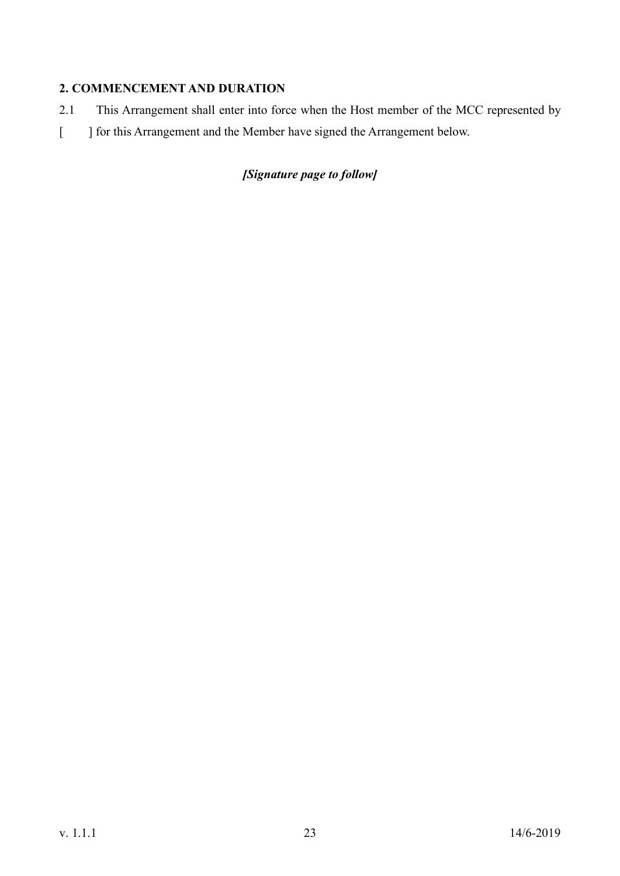# **2. COMMENCEMENT AND DURATION**

- 2.1 This Arrangement shall enter into force when the Host member of the MCC represented by
- [ ] for this Arrangement and the Member have signed the Arrangement below.

# *[Signature page to follow]*